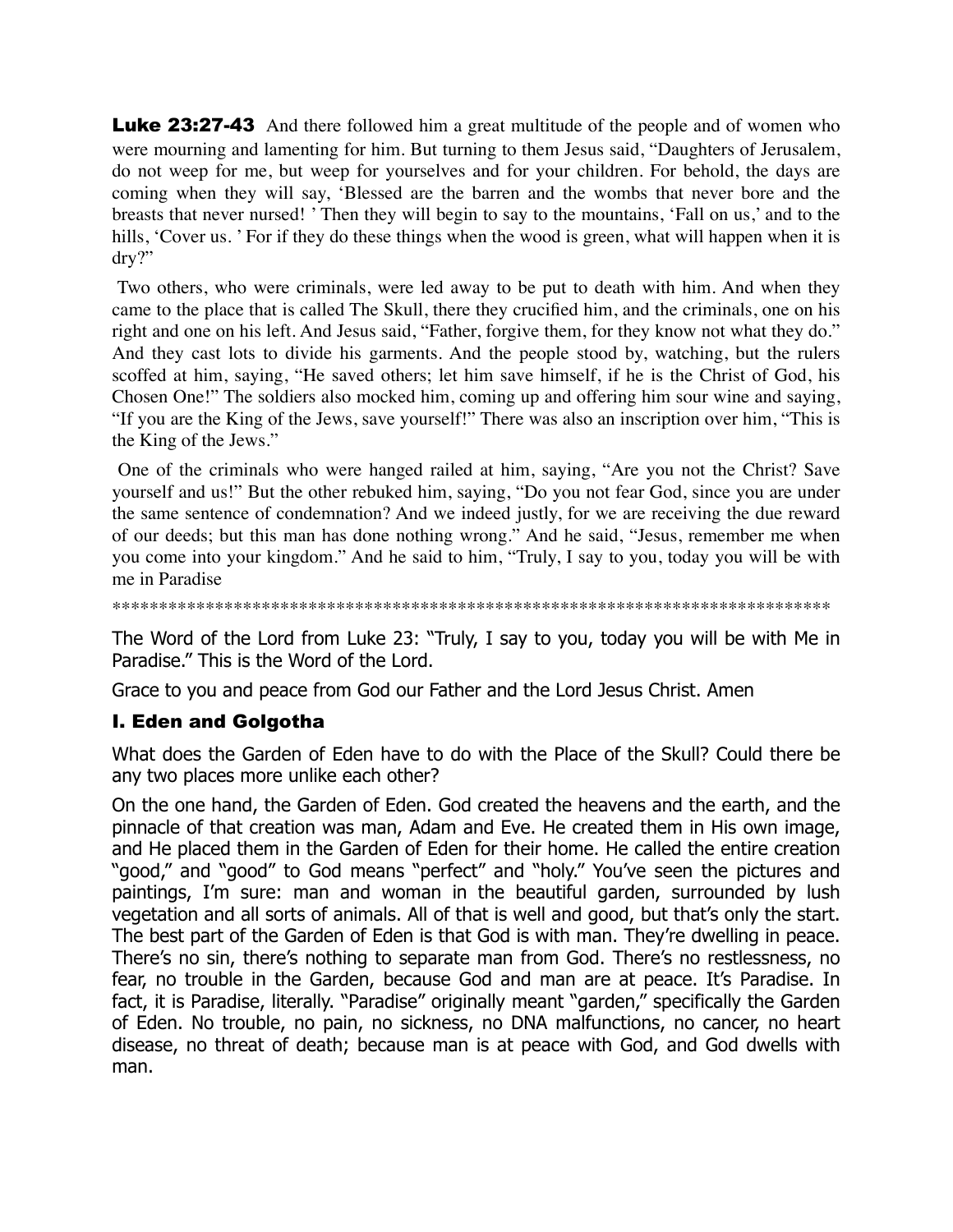**Luke 23:27-43** And there followed him a great multitude of the people and of women who were mourning and lamenting for him. But turning to them Jesus said, "Daughters of Jerusalem, do not weep for me, but weep for yourselves and for your children. For behold, the days are coming when they will say, 'Blessed are the barren and the wombs that never bore and the breasts that never nursed! ' Then they will begin to say to the mountains, 'Fall on us,' and to the hills, 'Cover us. ' For if they do these things when the wood is green, what will happen when it is dry?"

 Two others, who were criminals, were led away to be put to death with him. And when they came to the place that is called The Skull, there they crucified him, and the criminals, one on his right and one on his left. And Jesus said, "Father, forgive them, for they know not what they do." And they cast lots to divide his garments. And the people stood by, watching, but the rulers scoffed at him, saying, "He saved others; let him save himself, if he is the Christ of God, his Chosen One!" The soldiers also mocked him, coming up and offering him sour wine and saying, "If you are the King of the Jews, save yourself!" There was also an inscription over him, "This is the King of the Jews."

 One of the criminals who were hanged railed at him, saying, "Are you not the Christ? Save yourself and us!" But the other rebuked him, saying, "Do you not fear God, since you are under the same sentence of condemnation? And we indeed justly, for we are receiving the due reward of our deeds; but this man has done nothing wrong." And he said, "Jesus, remember me when you come into your kingdom." And he said to him, "Truly, I say to you, today you will be with me in Paradise

```
*****************************************************************************
```
The Word of the Lord from Luke 23: "Truly, I say to you, today you will be with Me in Paradise." This is the Word of the Lord.

Grace to you and peace from God our Father and the Lord Jesus Christ. Amen

## I. Eden and Golgotha

What does the Garden of Eden have to do with the Place of the Skull? Could there be any two places more unlike each other?

On the one hand, the Garden of Eden. God created the heavens and the earth, and the pinnacle of that creation was man, Adam and Eve. He created them in His own image, and He placed them in the Garden of Eden for their home. He called the entire creation "good," and "good" to God means "perfect" and "holy." You've seen the pictures and paintings, I'm sure: man and woman in the beautiful garden, surrounded by lush vegetation and all sorts of animals. All of that is well and good, but that's only the start. The best part of the Garden of Eden is that God is with man. They're dwelling in peace. There's no sin, there's nothing to separate man from God. There's no restlessness, no fear, no trouble in the Garden, because God and man are at peace. It's Paradise. In fact, it is Paradise, literally. "Paradise" originally meant "garden," specifically the Garden of Eden. No trouble, no pain, no sickness, no DNA malfunctions, no cancer, no heart disease, no threat of death; because man is at peace with God, and God dwells with man.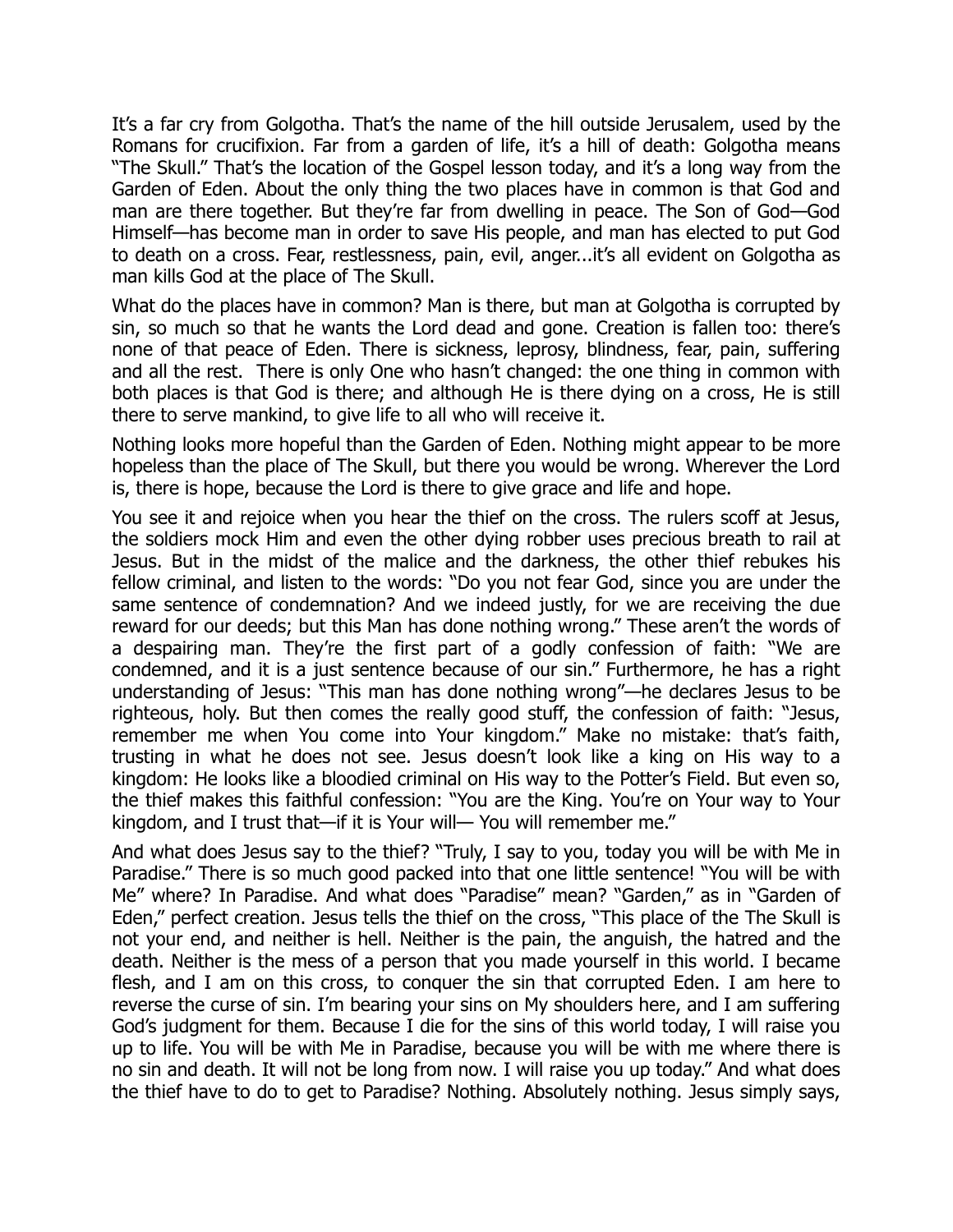It's a far cry from Golgotha. That's the name of the hill outside Jerusalem, used by the Romans for crucifixion. Far from a garden of life, it's a hill of death: Golgotha means "The Skull." That's the location of the Gospel lesson today, and it's a long way from the Garden of Eden. About the only thing the two places have in common is that God and man are there together. But they're far from dwelling in peace. The Son of God—God Himself—has become man in order to save His people, and man has elected to put God to death on a cross. Fear, restlessness, pain, evil, anger...it's all evident on Golgotha as man kills God at the place of The Skull.

What do the places have in common? Man is there, but man at Golgotha is corrupted by sin, so much so that he wants the Lord dead and gone. Creation is fallen too: there's none of that peace of Eden. There is sickness, leprosy, blindness, fear, pain, suffering and all the rest. There is only One who hasn't changed: the one thing in common with both places is that God is there; and although He is there dying on a cross, He is still there to serve mankind, to give life to all who will receive it.

Nothing looks more hopeful than the Garden of Eden. Nothing might appear to be more hopeless than the place of The Skull, but there you would be wrong. Wherever the Lord is, there is hope, because the Lord is there to give grace and life and hope.

You see it and rejoice when you hear the thief on the cross. The rulers scoff at Jesus, the soldiers mock Him and even the other dying robber uses precious breath to rail at Jesus. But in the midst of the malice and the darkness, the other thief rebukes his fellow criminal, and listen to the words: "Do you not fear God, since you are under the same sentence of condemnation? And we indeed justly, for we are receiving the due reward for our deeds; but this Man has done nothing wrong." These aren't the words of a despairing man. They're the first part of a godly confession of faith: "We are condemned, and it is a just sentence because of our sin." Furthermore, he has a right understanding of Jesus: "This man has done nothing wrong"—he declares Jesus to be righteous, holy. But then comes the really good stuff, the confession of faith: "Jesus, remember me when You come into Your kingdom." Make no mistake: that's faith, trusting in what he does not see. Jesus doesn't look like a king on His way to a kingdom: He looks like a bloodied criminal on His way to the Potter's Field. But even so, the thief makes this faithful confession: "You are the King. You're on Your way to Your kingdom, and I trust that—if it is Your will— You will remember me."

And what does Jesus say to the thief? "Truly, I say to you, today you will be with Me in Paradise." There is so much good packed into that one little sentence! "You will be with Me" where? In Paradise. And what does "Paradise" mean? "Garden," as in "Garden of Eden," perfect creation. Jesus tells the thief on the cross, "This place of the The Skull is not your end, and neither is hell. Neither is the pain, the anguish, the hatred and the death. Neither is the mess of a person that you made yourself in this world. I became flesh, and I am on this cross, to conquer the sin that corrupted Eden. I am here to reverse the curse of sin. I'm bearing your sins on My shoulders here, and I am suffering God's judgment for them. Because I die for the sins of this world today, I will raise you up to life. You will be with Me in Paradise, because you will be with me where there is no sin and death. It will not be long from now. I will raise you up today." And what does the thief have to do to get to Paradise? Nothing. Absolutely nothing. Jesus simply says,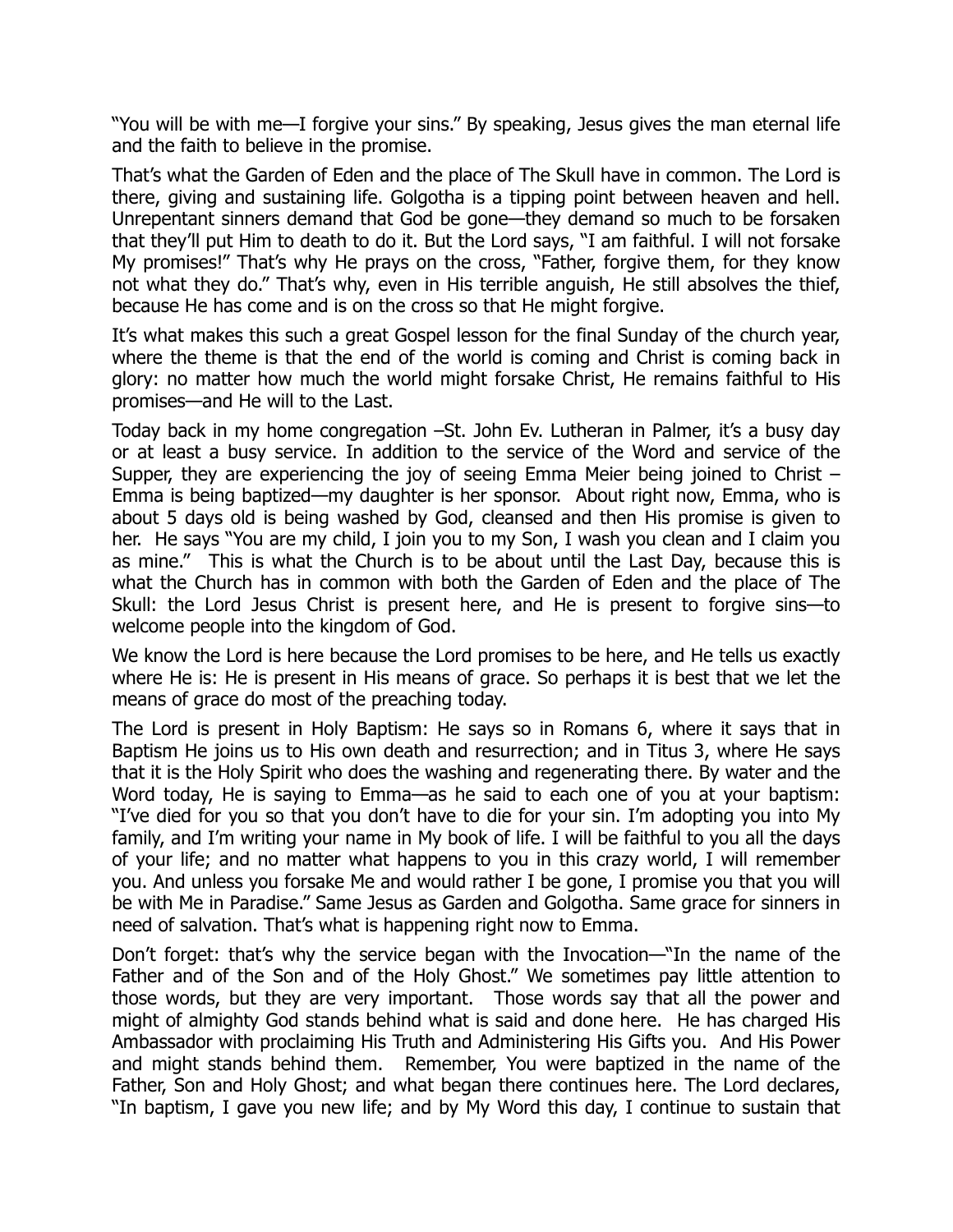"You will be with me—I forgive your sins." By speaking, Jesus gives the man eternal life and the faith to believe in the promise.

That's what the Garden of Eden and the place of The Skull have in common. The Lord is there, giving and sustaining life. Golgotha is a tipping point between heaven and hell. Unrepentant sinners demand that God be gone—they demand so much to be forsaken that they'll put Him to death to do it. But the Lord says, "I am faithful. I will not forsake My promises!" That's why He prays on the cross, "Father, forgive them, for they know not what they do." That's why, even in His terrible anguish, He still absolves the thief, because He has come and is on the cross so that He might forgive.

It's what makes this such a great Gospel lesson for the final Sunday of the church year, where the theme is that the end of the world is coming and Christ is coming back in glory: no matter how much the world might forsake Christ, He remains faithful to His promises—and He will to the Last.

Today back in my home congregation –St. John Ev. Lutheran in Palmer, it's a busy day or at least a busy service. In addition to the service of the Word and service of the Supper, they are experiencing the joy of seeing Emma Meier being joined to Christ – Emma is being baptized—my daughter is her sponsor. About right now, Emma, who is about 5 days old is being washed by God, cleansed and then His promise is given to her. He says "You are my child, I join you to my Son, I wash you clean and I claim you as mine." This is what the Church is to be about until the Last Day, because this is what the Church has in common with both the Garden of Eden and the place of The Skull: the Lord Jesus Christ is present here, and He is present to forgive sins—to welcome people into the kingdom of God.

We know the Lord is here because the Lord promises to be here, and He tells us exactly where He is: He is present in His means of grace. So perhaps it is best that we let the means of grace do most of the preaching today.

The Lord is present in Holy Baptism: He says so in Romans 6, where it says that in Baptism He joins us to His own death and resurrection; and in Titus 3, where He says that it is the Holy Spirit who does the washing and regenerating there. By water and the Word today, He is saying to Emma—as he said to each one of you at your baptism: "I've died for you so that you don't have to die for your sin. I'm adopting you into My family, and I'm writing your name in My book of life. I will be faithful to you all the days of your life; and no matter what happens to you in this crazy world, I will remember you. And unless you forsake Me and would rather I be gone, I promise you that you will be with Me in Paradise." Same Jesus as Garden and Golgotha. Same grace for sinners in need of salvation. That's what is happening right now to Emma.

Don't forget: that's why the service began with the Invocation—"In the name of the Father and of the Son and of the Holy Ghost." We sometimes pay little attention to those words, but they are very important. Those words say that all the power and might of almighty God stands behind what is said and done here. He has charged His Ambassador with proclaiming His Truth and Administering His Gifts you. And His Power and might stands behind them. Remember, You were baptized in the name of the Father, Son and Holy Ghost; and what began there continues here. The Lord declares, "In baptism, I gave you new life; and by My Word this day, I continue to sustain that